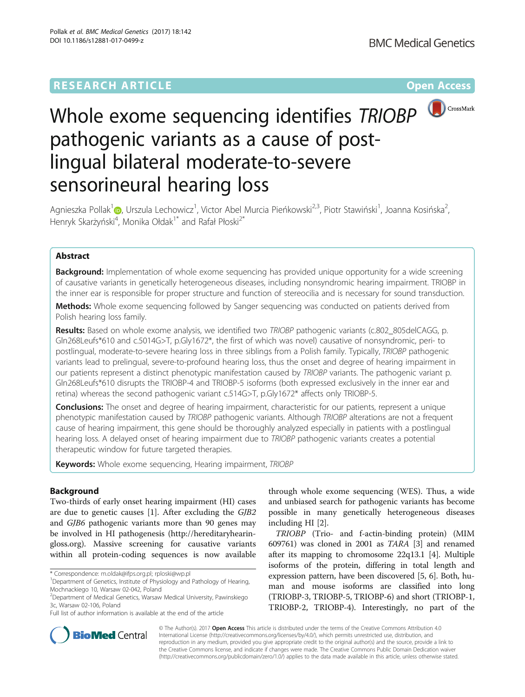

# Whole exome sequencing identifies TRIOBP pathogenic variants as a cause of postlingual bilateral moderate-to-severe sensorineural hearing loss

Agnieszka Pollak<sup>[1](http://orcid.org/0000-0002-2847-1782)</sup>©, Urszula Lechowicz<sup>1</sup>, Victor Abel Murcia Pieńkowski<sup>2,3</sup>, Piotr Stawiński<sup>1</sup>, Joanna Kosińska<sup>2</sup> , Henryk Skarżyński<sup>4</sup>, Monika Ołdak<sup>1\*</sup> and Rafał Płoski<sup>2\*</sup>

# Abstract

**Background:** Implementation of whole exome sequencing has provided unique opportunity for a wide screening of causative variants in genetically heterogeneous diseases, including nonsyndromic hearing impairment. TRIOBP in the inner ear is responsible for proper structure and function of stereocilia and is necessary for sound transduction.

Methods: Whole exome sequencing followed by Sanger sequencing was conducted on patients derived from Polish hearing loss family.

Results: Based on whole exome analysis, we identified two TRIOBP pathogenic variants (c.802\_805delCAGG, p. Gln268Leufs\*610 and c.5014G>T, p.Gly1672\*, the first of which was novel) causative of nonsyndromic, peri- to postlingual, moderate-to-severe hearing loss in three siblings from a Polish family. Typically, TRIOBP pathogenic variants lead to prelingual, severe-to-profound hearing loss, thus the onset and degree of hearing impairment in our patients represent a distinct phenotypic manifestation caused by TRIOBP variants. The pathogenic variant p. Gln268Leufs\*610 disrupts the TRIOBP-4 and TRIOBP-5 isoforms (both expressed exclusively in the inner ear and retina) whereas the second pathogenic variant c.514G>T, p.Gly1672\* affects only TRIOBP-5.

**Conclusions:** The onset and degree of hearing impairment, characteristic for our patients, represent a unique phenotypic manifestation caused by TRIOBP pathogenic variants. Although TRIOBP alterations are not a frequent cause of hearing impairment, this gene should be thoroughly analyzed especially in patients with a postlingual hearing loss. A delayed onset of hearing impairment due to TRIOBP pathogenic variants creates a potential therapeutic window for future targeted therapies.

**Keywords:** Whole exome sequencing, Hearing impairment, TRIOBP

# Background

Two-thirds of early onset hearing impairment (HI) cases are due to genetic causes [\[1](#page-7-0)]. After excluding the GJB2 and GJB6 pathogenic variants more than 90 genes may be involved in HI pathogenesis ([http://hereditaryhearin](http://hereditaryhearingloss.org)[gloss.org](http://hereditaryhearingloss.org)). Massive screening for causative variants within all protein-coding sequences is now available

\* Correspondence: [m.oldak@ifps.org.pl](mailto:m.oldak@ifps.org.pl); [rploski@wp.pl](mailto:rploski@wp.pl) <sup>1</sup>

Full list of author information is available at the end of the article

through whole exome sequencing (WES). Thus, a wide and unbiased search for pathogenic variants has become possible in many genetically heterogeneous diseases including HI [[2\]](#page-7-0).

TRIOBP (Trio- and f-actin-binding protein) (MIM 609761) was cloned in 2001 as TARA [\[3\]](#page-7-0) and renamed after its mapping to chromosome 22q13.1 [[4\]](#page-7-0). Multiple isoforms of the protein, differing in total length and expression pattern, have been discovered [[5, 6\]](#page-7-0). Both, human and mouse isoforms are classified into long (TRIOBP-3, TRIOBP-5, TRIOBP-6) and short (TRIOBP-1, TRIOBP-2, TRIOBP-4). Interestingly, no part of the



© The Author(s). 2017 **Open Access** This article is distributed under the terms of the Creative Commons Attribution 4.0 International License [\(http://creativecommons.org/licenses/by/4.0/](http://creativecommons.org/licenses/by/4.0/)), which permits unrestricted use, distribution, and reproduction in any medium, provided you give appropriate credit to the original author(s) and the source, provide a link to the Creative Commons license, and indicate if changes were made. The Creative Commons Public Domain Dedication waiver [\(http://creativecommons.org/publicdomain/zero/1.0/](http://creativecommons.org/publicdomain/zero/1.0/)) applies to the data made available in this article, unless otherwise stated.

<sup>&</sup>lt;sup>1</sup>Department of Genetics, Institute of Physiology and Pathology of Hearing, Mochnackiego 10, Warsaw 02-042, Poland

<sup>2</sup> Department of Medical Genetics, Warsaw Medical University, Pawinskiego 3c, Warsaw 02-106, Poland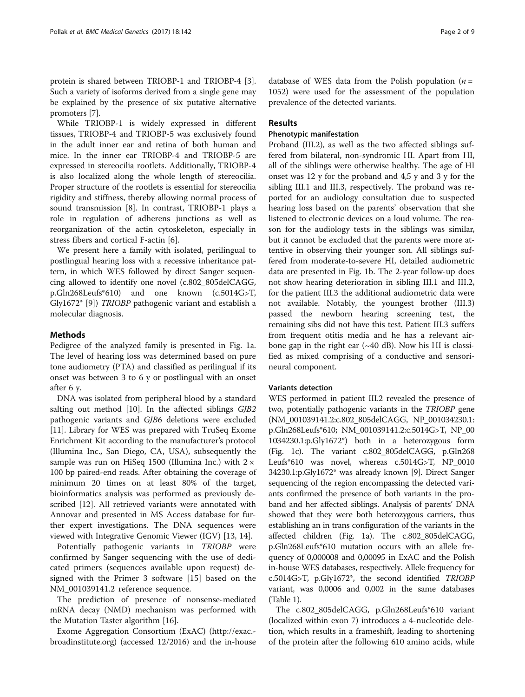protein is shared between TRIOBP-1 and TRIOBP-4 [[3](#page-7-0)]. Such a variety of isoforms derived from a single gene may be explained by the presence of six putative alternative promoters [\[7\]](#page-7-0).

While TRIOBP-1 is widely expressed in different tissues, TRIOBP-4 and TRIOBP-5 was exclusively found in the adult inner ear and retina of both human and mice. In the inner ear TRIOBP-4 and TRIOBP-5 are expressed in stereocilia rootlets. Additionally, TRIOBP-4 is also localized along the whole length of stereocilia. Proper structure of the rootlets is essential for stereocilia rigidity and stiffness, thereby allowing normal process of sound transmission [[8\]](#page-7-0). In contrast, TRIOBP-1 plays a role in regulation of adherens junctions as well as reorganization of the actin cytoskeleton, especially in stress fibers and cortical F-actin [\[6](#page-7-0)].

We present here a family with isolated, perilingual to postlingual hearing loss with a recessive inheritance pattern, in which WES followed by direct Sanger sequencing allowed to identify one novel (c.802\_805delCAGG, p.Gln268Leufs\*610) and one known (c.5014G>T, Gly1672\* [\[9](#page-7-0)]) TRIOBP pathogenic variant and establish a molecular diagnosis.

# Methods

Pedigree of the analyzed family is presented in Fig. [1a](#page-2-0). The level of hearing loss was determined based on pure tone audiometry (PTA) and classified as perilingual if its onset was between 3 to 6 y or postlingual with an onset after 6 y.

DNA was isolated from peripheral blood by a standard salting out method [\[10\]](#page-7-0). In the affected siblings GJB2 pathogenic variants and GJB6 deletions were excluded [[11\]](#page-7-0). Library for WES was prepared with TruSeq Exome Enrichment Kit according to the manufacturer's protocol (Illumina Inc., San Diego, CA, USA), subsequently the sample was run on HiSeq 1500 (Illumina Inc.) with  $2 \times$ 100 bp paired-end reads. After obtaining the coverage of minimum 20 times on at least 80% of the target, bioinformatics analysis was performed as previously described [\[12\]](#page-7-0). All retrieved variants were annotated with Annovar and presented in MS Access database for further expert investigations. The DNA sequences were viewed with Integrative Genomic Viewer (IGV) [[13](#page-7-0), [14](#page-7-0)].

Potentially pathogenic variants in TRIOBP were confirmed by Sanger sequencing with the use of dedicated primers (sequences available upon request) designed with the Primer 3 software [[15\]](#page-7-0) based on the NM\_001039141.2 reference sequence.

The prediction of presence of nonsense-mediated mRNA decay (NMD) mechanism was performed with the Mutation Taster algorithm [[16](#page-7-0)].

Exome Aggregation Consortium (ExAC) ([http://exac.](http://exac.broadinstitute.org) [broadinstitute.org](http://exac.broadinstitute.org)) (accessed 12/2016) and the in-house

database of WES data from the Polish population  $(n =$ 1052) were used for the assessment of the population prevalence of the detected variants.

# Results

## Phenotypic manifestation

Proband (III.2), as well as the two affected siblings suffered from bilateral, non-syndromic HI. Apart from HI, all of the siblings were otherwise healthy. The age of HI onset was 12 y for the proband and 4,5 y and 3 y for the sibling III.1 and III.3, respectively. The proband was reported for an audiology consultation due to suspected hearing loss based on the parents' observation that she listened to electronic devices on a loud volume. The reason for the audiology tests in the siblings was similar, but it cannot be excluded that the parents were more attentive in observing their younger son. All siblings suffered from moderate-to-severe HI, detailed audiometric data are presented in Fig. [1b.](#page-2-0) The 2-year follow-up does not show hearing deterioration in sibling III.1 and III.2, for the patient III.3 the additional audiometric data were not available. Notably, the youngest brother (III.3) passed the newborn hearing screening test, the remaining sibs did not have this test. Patient III.3 suffers from frequent otitis media and he has a relevant airbone gap in the right ear  $(\sim 40$  dB). Now his HI is classified as mixed comprising of a conductive and sensorineural component.

#### Variants detection

WES performed in patient III.2 revealed the presence of two, potentially pathogenic variants in the TRIOBP gene (NM\_001039141.2:c.802\_805delCAGG, NP\_001034230.1: p.Gln268Leufs\*610; NM\_001039141.2:c.5014G>T, NP\_00 1034230.1:p.Gly1672\*) both in a heterozygous form (Fig. [1c](#page-2-0)). The variant c.802\_805delCAGG, p.Gln268 Leufs\*610 was novel, whereas c.5014G>T, NP\_0010 34230.1:p.Gly1672\* was already known [\[9](#page-7-0)]. Direct Sanger sequencing of the region encompassing the detected variants confirmed the presence of both variants in the proband and her affected siblings. Analysis of parents' DNA showed that they were both heterozygous carriers, thus establishing an in trans configuration of the variants in the affected children (Fig. [1a](#page-2-0)). The c.802\_805delCAGG, p.Gln268Leufs\*610 mutation occurs with an allele frequency of 0,000008 and 0,00095 in ExAC and the Polish in-house WES databases, respectively. Allele frequency for c.5014G>T, p.Gly1672\*, the second identified TRIOBP variant, was 0,0006 and 0,002 in the same databases (Table [1](#page-3-0)).

The c.802\_805delCAGG, p.Gln268Leufs\*610 variant (localized within exon 7) introduces a 4-nucleotide deletion, which results in a frameshift, leading to shortening of the protein after the following 610 amino acids, while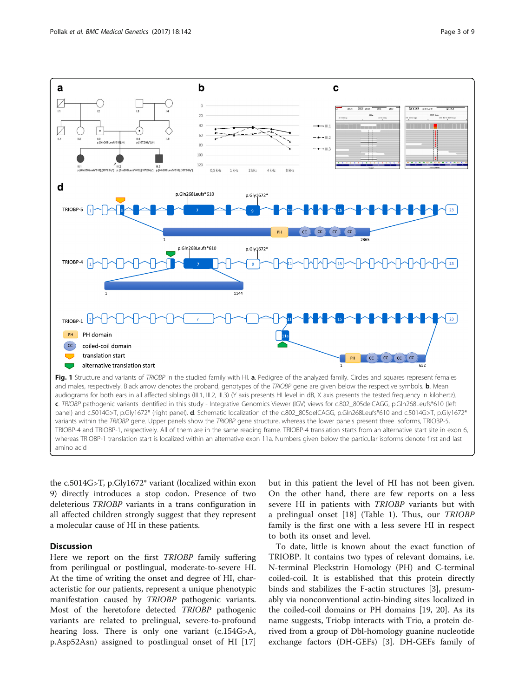<span id="page-2-0"></span>

the c.5014G>T, p.Gly1672\* variant (localized within exon 9) directly introduces a stop codon. Presence of two deleterious TRIOBP variants in a trans configuration in all affected children strongly suggest that they represent a molecular cause of HI in these patients.

# **Discussion**

Here we report on the first TRIOBP family suffering from perilingual or postlingual, moderate-to-severe HI. At the time of writing the onset and degree of HI, characteristic for our patients, represent a unique phenotypic manifestation caused by TRIOBP pathogenic variants. Most of the heretofore detected TRIOBP pathogenic variants are related to prelingual, severe-to-profound hearing loss. There is only one variant (c.154G>A, p.Asp52Asn) assigned to postlingual onset of HI [\[17](#page-7-0)]

but in this patient the level of HI has not been given. On the other hand, there are few reports on a less severe HI in patients with TRIOBP variants but with a prelingual onset [[18\]](#page-7-0) (Table [1\)](#page-3-0). Thus, our TRIOBP family is the first one with a less severe HI in respect to both its onset and level.

To date, little is known about the exact function of TRIOBP. It contains two types of relevant domains, i.e. N-terminal Pleckstrin Homology (PH) and C-terminal coiled-coil. It is established that this protein directly binds and stabilizes the F-actin structures [[3\]](#page-7-0), presumably via nonconventional actin-binding sites localized in the coiled-coil domains or PH domains [[19, 20\]](#page-8-0). As its name suggests, Triobp interacts with Trio, a protein derived from a group of Dbl-homology guanine nucleotide exchange factors (DH-GEFs) [\[3](#page-7-0)]. DH-GEFs family of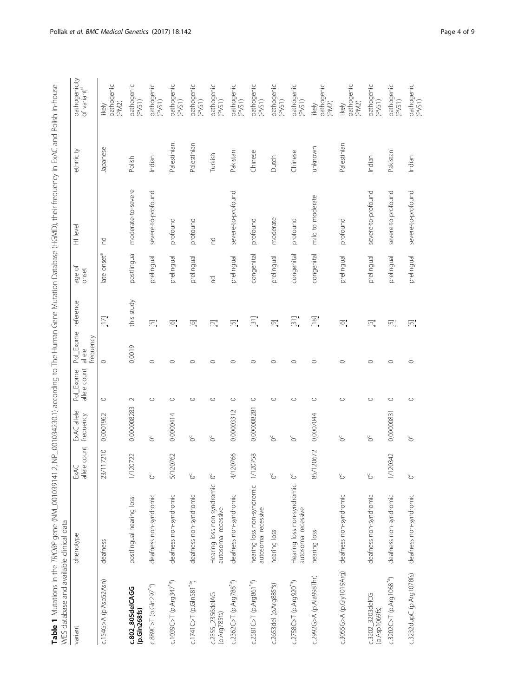| $\mathfrak{c}$<br>$\mathbf{I}$<br>١<br>I |                         |
|------------------------------------------|-------------------------|
| ¢                                        |                         |
| $\frac{1}{2}$                            |                         |
| j<br>I                                   |                         |
| $\sim$ $\sim$ $\sim$<br>j<br>ì           |                         |
| l                                        |                         |
| j<br>j<br>i<br>I                         |                         |
|                                          |                         |
|                                          |                         |
| ļ                                        |                         |
| i<br>)<br>5<br>Ì<br>ļ                    |                         |
| Ì<br>l                                   |                         |
| ļ<br>Ì<br>l                              |                         |
| <br> <br> <br>                           |                         |
| )<br>)<br>)                              |                         |
| $\frac{3}{2}$                            |                         |
| ׇ֘֒<br>I                                 |                         |
| l                                        |                         |
| i<br>ì<br>ļ<br>i                         |                         |
| i<br>١<br>j<br>)<br>I<br>l<br>I          |                         |
| l<br>ׇ֘֒<br>١<br>Į                       |                         |
| :<br>$\frac{1}{2}$                       |                         |
| $\ddot{\phantom{0}}$<br>ì                |                         |
| $\ddot{\phantom{a}}$<br>Į<br>ĺ           |                         |
| þ<br>)                                   |                         |
| J<br>ĺ<br>I                              |                         |
|                                          |                         |
| ו<br>ו<br>j<br>Ì<br>i                    | $\frac{1}{2}$<br>j<br>j |
| $\frac{1}{2}$                            | :<br>;<br>;<br>l        |
|                                          | 1                       |
|                                          | i                       |
| $\mathbf \zeta$<br>$\frac{1}{2}$<br>l    | てらい<br>d                |
|                                          | a a sa sa a<br>ׇ֚֘֕֡    |
| ֚֘<br>$\ddot{\phantom{a}}$               | į<br>I                  |
| ļ                                        |                         |

<span id="page-3-0"></span>

| WES database and available clinical data |                                                   |                      |                          |                           |                                  |                    |                         |                    |             |                                          |
|------------------------------------------|---------------------------------------------------|----------------------|--------------------------|---------------------------|----------------------------------|--------------------|-------------------------|--------------------|-------------|------------------------------------------|
| variant                                  | phenotype                                         | ExAC<br>allele count | ExAC allele<br>frequency | allele count<br>Pol_Exome | Pol_Exome<br>frequency<br>allele | reference          | age of<br>onset         | HI level           | ethnicity   | pathogenicity<br>of variant <sup>d</sup> |
| c.154G>A (p.Asp52Asn)                    | deafness                                          | 117210<br>23'        | 0,0001962                | $\circ$                   | $\circ$                          | $\overline{\Xi}$   | late onset <sup>a</sup> | 겉                  | Japanese    | pathogenic<br>(PM2)<br>likely            |
| c.802_805delCAGG<br>(p.Gln268fs)         | postlingual hearing loss                          | 1/120722             | 0,000008283              | $\sim$                    | 0,0019                           | this study         | postlingual             | moderate-to-severe | Polish      | pathogenic<br>(PVS1)                     |
| c.889C>T (p.Gln297 <sup>*a</sup> )       | deafness non-syndromic                            | ŏ                    | ŏ                        | $\circ$                   | $\circ$                          | $\Xi$              | prelingual              | severe-to-profound | Indian      | pathogenic<br>(PVS1)                     |
| c.1039C>T (p.Arg347 <sup>*a</sup> )      | deafness non-syndromic                            | 5/120762             | 0,0000414                | $\circ$                   | $\circ$                          | $\overline{\odot}$ | prelingual              | profound           | Palestinian | pathogenic<br>(PVS1)                     |
| $c.1741C > T (p.Gln581^{*a})$            | deafness non-syndromic                            | $\circ$              | ŏ                        | $\circ$                   | $\circ$                          | $\boxed{\odot}$    | prelingual              | profound           | Palestinian | pathogenic<br>(PVS1)                     |
| c.2355_2356deIAG<br>(p.Arg785fs)         | Hearing loss non-syndromic<br>autosomal recessive | ŏ                    | ŏ                        | $\circ$                   | $\circ$                          | $\Xi.$             | 5                       | 5                  | Turkish     | pathogenic<br>(PVS1)                     |
| $c.2362C > T (p. Arg788^{*a})$           | deafness non-syndromic                            | 20766<br>4/12        | 0,00003312               | $\circ$                   | $\circ$                          | $\Xi$              | prelingual              | severe-to-profound | Pakistani   | pathogenic<br>(PVS1)                     |
| $c.2581C > T (p. Arg861^{*a})$           | hearing loss non-syndromic<br>autosomal recessive | 1/120758             | 0,000008281              | $\circ$                   | $\circ$                          | $\Xi$              | congenital              | profound           | Chinese     | pathogenic<br>(PVS1)                     |
| c.2653del (p.Arg885fs)                   | hearing loss                                      | ŏ                    | ŏ                        | $\circ$                   | $\circ$                          | $\overline{\odot}$ | prelingual              | moderate           | Dutch       | pathogenic<br>(PVS1)                     |
| c.2758C>T (p.Arg920 <sup>*9</sup> )      | Hearing loss non-syndromic<br>autosomal recessive | ŏ                    | ŏ                        | $\circ$                   | $\circ$                          | $\Xi$              | congenital              | profound           | Chinese     | pathogenic<br>(PVS1)                     |
| c.2992G>A (p.Ala998Thr)                  | hearing loss                                      | 20672<br>85/1        | 0,0007044                | $\circ$                   | $\circ$                          | $\boxed{8}$        | congenital              | mild to moderate   | unknown     | pathogenic<br>(PM2)<br>likely            |
| c.3055G>A (p.Gly1019Arg)                 | deafness non-syndromic                            | ŏ                    | ŏ                        | $\circ$                   | $\circ$                          | $\overline{\odot}$ | prelingual              | profound           | Palestinian | pathogenic<br>(PM2)<br>likely            |
| c.3202_3203delCG<br>(p.Asp1069fs)        | deafness non-syndromic                            | $\circ$              | ŏ                        | $\circ$                   | $\circ$                          | $\overline{\Xi}$   | prelingual              | severe-to-profound | Indian      | pathogenic<br>(PVS1)                     |
| $c.3202C > T (p. Arg1068*)$              | deafness non-syndromic                            | 1/120342             | 0,00000831               | $\circ$                   | $\circ$                          | $\Xi$              | prelingual              | severe-to-profound | Pakistani   | pathogenic<br>(PVS1)                     |
| c.3232dupC (p.Arg1078fs)                 | deafness non-syndromic                            | ŏ                    | ŏ                        | $\circ$                   | $\circ$                          | $\Xi$              | prelingual              | severe-to-profound | Indian      | pathogenic<br>(PVS1)                     |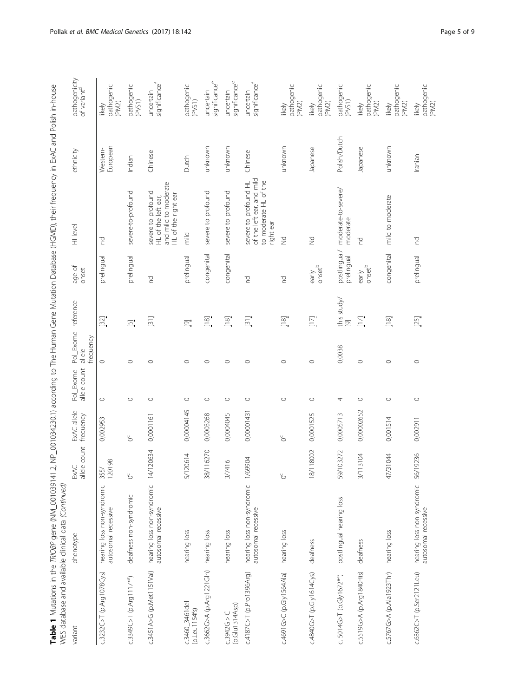| 1<br>)<br>S                                                       |                                                                              |
|-------------------------------------------------------------------|------------------------------------------------------------------------------|
|                                                                   |                                                                              |
| ١                                                                 |                                                                              |
|                                                                   |                                                                              |
| j                                                                 |                                                                              |
|                                                                   |                                                                              |
|                                                                   |                                                                              |
| CMAC ON                                                           |                                                                              |
|                                                                   |                                                                              |
|                                                                   |                                                                              |
|                                                                   |                                                                              |
| )<br>;<br>)                                                       |                                                                              |
| j                                                                 |                                                                              |
| I                                                                 |                                                                              |
| j                                                                 |                                                                              |
|                                                                   |                                                                              |
| j                                                                 |                                                                              |
| CVV                                                               |                                                                              |
| $\frac{1}{2}$<br>l                                                |                                                                              |
| こりこく                                                              |                                                                              |
| $\frac{1}{2}$                                                     |                                                                              |
|                                                                   |                                                                              |
| I                                                                 |                                                                              |
| ļ                                                                 |                                                                              |
|                                                                   |                                                                              |
| $\ddot{\phantom{0}}$                                              |                                                                              |
|                                                                   |                                                                              |
| )<br>)<br>.<br>ί,                                                 |                                                                              |
| I                                                                 |                                                                              |
| iga an<br>j                                                       |                                                                              |
|                                                                   |                                                                              |
|                                                                   |                                                                              |
| $\frac{1}{2}$<br>l                                                |                                                                              |
|                                                                   |                                                                              |
| $\frac{5}{1}$<br>$\overline{ }$                                   |                                                                              |
| ì                                                                 |                                                                              |
| ;<br>))<br>)<br>$\frac{1}{2}$                                     |                                                                              |
|                                                                   |                                                                              |
|                                                                   |                                                                              |
| $\frac{1}{2}$<br>֖֖֦ׅ֧֪֦֧ׅ֧֧ׅ֧֛֚֚֚֚֚֚֚֚֚֚֬֝֓֝֓֡֜֓֡֓֝֬֝֓֝֬֝֜֓֓֝֬֜֓ |                                                                              |
| j                                                                 |                                                                              |
|                                                                   |                                                                              |
| Ί                                                                 |                                                                              |
| ;<br>C<br>C<br>C                                                  |                                                                              |
| Ņ,                                                                |                                                                              |
| 11                                                                |                                                                              |
|                                                                   | Ş                                                                            |
|                                                                   |                                                                              |
|                                                                   | l<br>ì                                                                       |
|                                                                   | ļ                                                                            |
| I                                                                 | I<br>J                                                                       |
|                                                                   |                                                                              |
|                                                                   | -<br>5<br>5                                                                  |
| l                                                                 | l                                                                            |
|                                                                   | <br> <br> <br>                                                               |
| $\frac{1}{3}$                                                     | ֖֖֖֖֖֪ׅׅ֪֪ׅ֪ׅ֪ׅ֪ׅ֪֪֪֪ׅ֪֪֪ׅ֚֚֚֚֚֚֚֚֚֬֝֬֝֓֝֬֝֬֓֓֓֬                             |
|                                                                   |                                                                              |
|                                                                   |                                                                              |
|                                                                   | てんこうこう                                                                       |
|                                                                   |                                                                              |
|                                                                   | ׇ֘֒                                                                          |
|                                                                   | <b>SSSS</b>                                                                  |
|                                                                   | ֧֧֧֧֧֧֧ׅ֧֧֧֧֚֚֚֚֚֚֚֚֚֚֚֚֚֚֚֚֚֚֚֚֚֚֚֚֚֚֡֝֓֝֓֝֓֝֬֝֓֝֬֜֝֬֝֬֝֬֝<br>$\frac{1}{2}$ |
|                                                                   |                                                                              |
| I                                                                 | ֦֧֧֪֦֧֪֦֧֖֧ׅ֧֧ׅ֖֧ׅ֖֧ׅ֧ׅ֧֧֧֛֚֚֚֚֚֚֚֚֚֚֚֚֚֚֚֚֚֚֡֝֘֝֝֝֬֝֝֬֝֝֬֝֝֜֓֝֬֜֜֜֜֝֬֝֓     |

|                                       | WES database and available clinical data (Continued) |                      |                          |                           |                                            |                                                  |                                       |                                                                                          |                      |                                          |
|---------------------------------------|------------------------------------------------------|----------------------|--------------------------|---------------------------|--------------------------------------------|--------------------------------------------------|---------------------------------------|------------------------------------------------------------------------------------------|----------------------|------------------------------------------|
| variant                               | phenotype                                            | ExAC<br>allele count | ExAC allele<br>frequency | allele count<br>Pol_Exome | Pol_Exome reference<br>frequency<br>allele |                                                  | age of<br>onset                       | HI level                                                                                 | ethnicity            | pathogenicity<br>of variant <sup>d</sup> |
| c.3232C>T (p.Arg1078Cys)              | hearing loss non-syndromic<br>autosomal recessive    | 355/<br>120198       | 0,002953                 | $\circ$                   | $\circ$                                    | $[32]$                                           | prelingual                            | p                                                                                        | European<br>Western- | pathogenic<br>(PM2)<br>likely            |
| $c.3349C > T (p. Arg1117*)$           | deafness non-syndromic                               | ŏ                    | ŏ                        | $\circ$                   | $\circ$                                    | $\Xi$                                            | prelingual                            | severe-to-profound                                                                       | Indian               | pathogenic<br>(PVS1)                     |
| c.3451A>G (p.Met1151Val)              | hearing loss non-syndromic<br>autosomal recessive    | 14/120634            | 0,0001161                | $\circ$                   | $\circ$                                    | $\Xi$                                            | P                                     | and mild to moderate<br>severe to profound<br>HL of the right ear<br>HL of the left ear, | Chinese              | significancef<br>uncertain               |
| c.3460_3461del<br>(p.Leu1154fs)       | hearing loss                                         | 5/120614             | 0,00004145               | $\circ$                   | $\circ$                                    | $\Xi$                                            | prelingual                            | mild                                                                                     | Dutch                | pathogenic<br>(PVS1)                     |
| c.3662G>A (p.Arg1221GIn)              | hearing loss                                         | 38/116270            | 0,0003268                | $\circ$                   | $\circ$                                    | $^{[18]}$                                        | congenital                            | severe to profound                                                                       | unknown              | significance <sup>e</sup><br>uncertain   |
| (p.Glu1314Asp)<br>C.3942G > C         | hearing loss                                         | 3/7416               | 0,0004045                | $\circ$                   | $\circ$                                    | $\begin{bmatrix} 18 \\ -8 \end{bmatrix}$         | congenital                            | severe to profound                                                                       | unknown              | significancee<br>uncertain               |
| c.4187C>T (p.Pro1396Arg)              | hearing loss non-syndromic<br>autosomal recessive    | 1/69904              | 0,00001431               | $\circ$                   | $\circ$                                    | $\Xi$                                            | P                                     | of the left ear, and mild<br>severe to profound HL<br>to moderate HL of the<br>right ear | Chinese              | significance<br>uncertain                |
| c.4691G>C (p.Gly1564Ala)              | hearing loss                                         | ŏ                    | ŏ                        | $\circ$                   | $\circ$                                    | $\begin{bmatrix} 1 & 8 \\ -8 & -8 \end{bmatrix}$ | P                                     | $\geq$                                                                                   | unknown              | pathogenic<br>(PM2)<br>likely            |
| c.4840G>T (p.Gly1614Cys)              | deafness                                             | 18/118002            | 0,0001525                | $\circ$                   | $\circ$                                    | $\overline{\Xi}$                                 | $_{\text{onset}}^{\text{b}}$<br>early | $\geq$                                                                                   | Japanese             | pathogenic<br>(PM2)<br>likely            |
| c. 5014G>T (p.Gly1672 <sup>*a</sup> ) | postlingual hearing loss                             | 59/103272            | 0,0005713                | 4                         | 0,0038                                     | this study/<br>[9]                               | postlingual/<br>prelingual            | moderate-to-severe/<br>moderate                                                          | Polish/Dutch         | pathogenic<br>(PV51)                     |
| c.5519G>A (p.Arg1840His)              | deafness                                             | 3/113104             | 0,00002652               | $\circ$                   | $\circ$                                    | $\Xi$                                            | onset <sup>b</sup><br>early           | 5                                                                                        | Japanese             | pathogenic<br>(PM2)<br>likely            |
| c.5767G>A (p.Ala1923Thr)              | hearing loss                                         | 47/31044             | 0,001514                 | $\circ$                   | $\circ$                                    | $\begin{bmatrix} 18 \\ 1 \end{bmatrix}$          | congenital                            | mild to moderate                                                                         | unknown              | pathogenic<br>(PM2)<br>likely            |
| c.6362C>T (p.Ser2121Leu)              | hearing loss non-syndromic<br>autosomal recessive    | 56/19236             | 0,002911                 | $\circ$                   | $\circ$                                    | $[25]$                                           | prelingual                            | 5                                                                                        | Iranian              | pathogenic<br>(PM2)<br>likely            |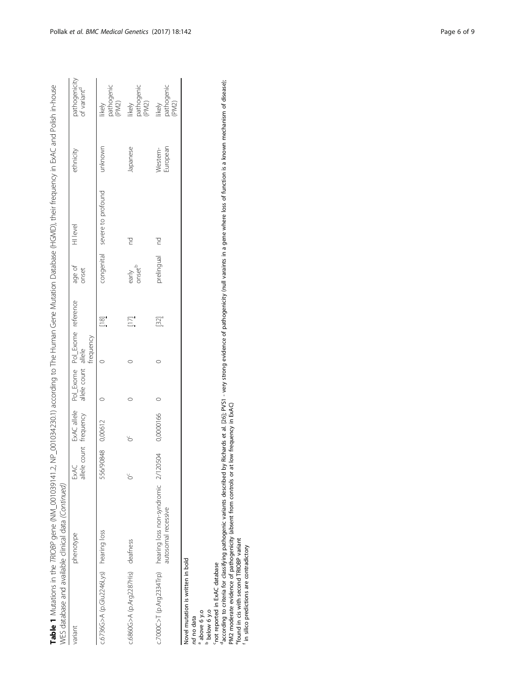|                                       | Table 1 Mutations in the <i>TRIOBP</i> gene (NM_0010391201034230.1) according to The Human Gene Mutation Database (HGMD), their frequency in ExAC and Polish in-house<br>NES database and available clinical data (Continued) |                             |                       |                                                                  |           |                  |                             |                               |                      |                                          |
|---------------------------------------|-------------------------------------------------------------------------------------------------------------------------------------------------------------------------------------------------------------------------------|-----------------------------|-----------------------|------------------------------------------------------------------|-----------|------------------|-----------------------------|-------------------------------|----------------------|------------------------------------------|
| variant                               | phenotype                                                                                                                                                                                                                     | Exac<br>$\overline{\sigma}$ | llele count frequency | ExAC allele Pol_Exome Pol_Exome reference<br>allele count allele | frequency |                  | age of<br>onset             | 및<br>Hlevel                   | ethnicity            | pathogenicity<br>of variant <sup>d</sup> |
| c.6736G>A (p.Glu2246Lys) hearing loss |                                                                                                                                                                                                                               | 556/90848 0,00612           |                       |                                                                  |           | $\frac{8}{10}$   |                             | congenital severe to profound | unknown              | pathogenic<br>(PM2)<br>likely            |
| c.6860G>A (p.Arg2287His) deafness     |                                                                                                                                                                                                                               |                             |                       |                                                                  |           | $\overline{\Xi}$ | early<br>onset <sup>b</sup> |                               | Japanese             | pathogenic<br>(PM2)<br>likely            |
|                                       | c.7000C>T (p.Arg2334Trp) hearing loss non-syndromic 2/120504<br>autosomal recessive                                                                                                                                           |                             | 0,0000166             |                                                                  |           | $[32]$           | prelingual nd               |                               | European<br>Western- | pathogenic<br>(PM2)<br>likely            |
|                                       |                                                                                                                                                                                                                               |                             |                       |                                                                  |           |                  |                             |                               |                      |                                          |

Novel mutation is written in bold Novel mutation is written in bold nd no data

nd no data above 6 y.o below 6 y.o

cnot reported in ExAC database

a coor du co daccording to criteria for classifying pathogenic variants described by Richards et al. [\[26\]](#page-8-0); PVS1 - very strong evidence of pathogenicity (null varaints in a gene where loss of function is a known mechanism of disease); PM2 moderate evidence of pathogenicity (absent from controls or at low frequency in ExAC)

efound in cis with second TRIOBP variant

in silico predictions are contradictory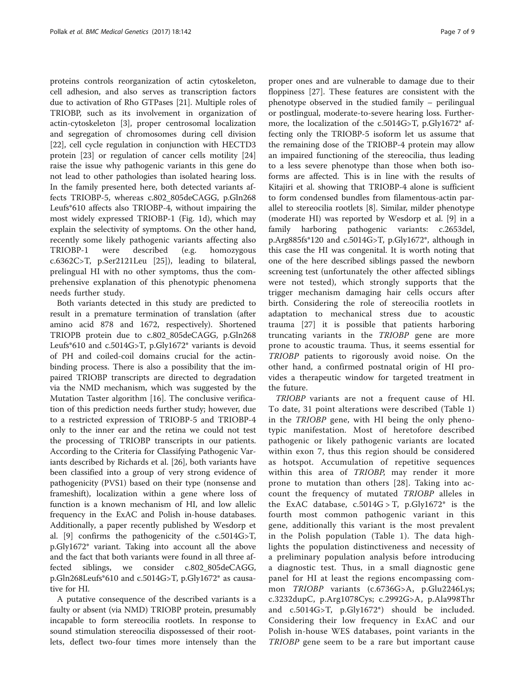proteins controls reorganization of actin cytoskeleton, cell adhesion, and also serves as transcription factors due to activation of Rho GTPases [[21\]](#page-8-0). Multiple roles of TRIOBP, such as its involvement in organization of actin-cytoskeleton [[3\]](#page-7-0), proper centrosomal localization and segregation of chromosomes during cell division [[22\]](#page-8-0), cell cycle regulation in conjunction with HECTD3 protein [\[23\]](#page-8-0) or regulation of cancer cells motility [[24](#page-8-0)] raise the issue why pathogenic variants in this gene do not lead to other pathologies than isolated hearing loss. In the family presented here, both detected variants affects TRIOBP-5, whereas c.802\_805deCAGG, p.Gln268 Leufs\*610 affects also TRIOBP-4, without impairing the most widely expressed TRIOBP-1 (Fig. [1d](#page-2-0)), which may explain the selectivity of symptoms. On the other hand, recently some likely pathogenic variants affecting also TRIOBP-1 were described (e.g. homozygous c.6362C>T, p.Ser2121Leu [[25](#page-8-0)]), leading to bilateral, prelingual HI with no other symptoms, thus the comprehensive explanation of this phenotypic phenomena needs further study.

Both variants detected in this study are predicted to result in a premature termination of translation (after amino acid 878 and 1672, respectively). Shortened TRIOPB protein due to c.802\_805deCAGG, p.Gln268 Leufs\*610 and c.5014G>T, p.Gly1672\* variants is devoid of PH and coiled-coil domains crucial for the actinbinding process. There is also a possibility that the impaired TRIOBP transcripts are directed to degradation via the NMD mechanism, which was suggested by the Mutation Taster algorithm [\[16](#page-7-0)]. The conclusive verification of this prediction needs further study; however, due to a restricted expression of TRIOBP-5 and TRIOBP-4 only to the inner ear and the retina we could not test the processing of TRIOBP transcripts in our patients. According to the Criteria for Classifying Pathogenic Variants described by Richards et al. [\[26](#page-8-0)], both variants have been classified into a group of very strong evidence of pathogenicity (PVS1) based on their type (nonsense and frameshift), localization within a gene where loss of function is a known mechanism of HI, and low allelic frequency in the ExAC and Polish in-house databases. Additionally, a paper recently published by Wesdorp et al. [[9\]](#page-7-0) confirms the pathogenicity of the c.5014G>T, p.Gly1672\* variant. Taking into account all the above and the fact that both variants were found in all three affected siblings, we consider c.802\_805deCAGG, p.Gln268Leufs\*610 and c.5014G>T, p.Gly1672\* as causative for HI.

A putative consequence of the described variants is a faulty or absent (via NMD) TRIOBP protein, presumably incapable to form stereocilia rootlets. In response to sound stimulation stereocilia dispossessed of their rootlets, deflect two-four times more intensely than the proper ones and are vulnerable to damage due to their floppiness [[27](#page-8-0)]. These features are consistent with the phenotype observed in the studied family – perilingual or postlingual, moderate-to-severe hearing loss. Furthermore, the localization of the c.5014G>T, p.Gly1672\* affecting only the TRIOBP-5 isoform let us assume that the remaining dose of the TRIOBP-4 protein may allow an impaired functioning of the stereocilia, thus leading to a less severe phenotype than those when both isoforms are affected. This is in line with the results of Kitajiri et al. showing that TRIOBP-4 alone is sufficient to form condensed bundles from filamentous-actin parallel to stereocilia rootlets [\[8](#page-7-0)]. Similar, milder phenotype (moderate HI) was reported by Wesdorp et al. [[9\]](#page-7-0) in a family harboring pathogenic variants: c.2653del, p.Arg885fs\*120 and c.5014G>T, p.Gly1672\*, although in this case the HI was congenital. It is worth noting that one of the here described siblings passed the newborn screening test (unfortunately the other affected siblings were not tested), which strongly supports that the trigger mechanism damaging hair cells occurs after birth. Considering the role of stereocilia rootlets in adaptation to mechanical stress due to acoustic trauma [[27](#page-8-0)] it is possible that patients harboring truncating variants in the TRIOBP gene are more prone to acoustic trauma. Thus, it seems essential for TRIOBP patients to rigorously avoid noise. On the other hand, a confirmed postnatal origin of HI provides a therapeutic window for targeted treatment in the future.

TRIOBP variants are not a frequent cause of HI. To date, 31 point alterations were described (Table [1](#page-3-0)) in the TRIOBP gene, with HI being the only phenotypic manifestation. Most of heretofore described pathogenic or likely pathogenic variants are located within exon 7, thus this region should be considered as hotspot. Accumulation of repetitive sequences within this area of TRIOBP, may render it more prone to mutation than others [[28](#page-8-0)]. Taking into account the frequency of mutated TRIOBP alleles in the ExAC database,  $c.5014G > T$ ,  $p.Gly1672^*$  is the fourth most common pathogenic variant in this gene, additionally this variant is the most prevalent in the Polish population (Table [1\)](#page-3-0). The data highlights the population distinctiveness and necessity of a preliminary population analysis before introducing a diagnostic test. Thus, in a small diagnostic gene panel for HI at least the regions encompassing common TRIOBP variants (c.6736G>A, p.Glu2246Lys; c.3232dupC, p.Arg1078Cys; c.2992G>A, p.Ala998Thr and c.5014G>T, p.Gly1672\*) should be included. Considering their low frequency in ExAC and our Polish in-house WES databases, point variants in the TRIOBP gene seem to be a rare but important cause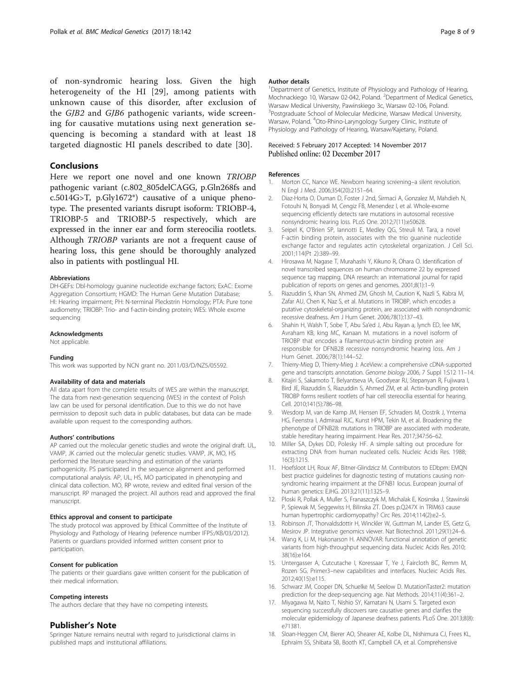<span id="page-7-0"></span>of non-syndromic hearing loss. Given the high heterogeneity of the HI [\[29](#page-8-0)], among patients with unknown cause of this disorder, after exclusion of the GJB2 and GJB6 pathogenic variants, wide screening for causative mutations using next generation sequencing is becoming a standard with at least 18 targeted diagnostic HI panels described to date [[30\]](#page-8-0).

## Conclusions

Here we report one novel and one known TRIOBP pathogenic variant (c.802\_805delCAGG, p.Gln268fs and c.5014G>T, p.Gly1672\*) causative of a unique phenotype. The presented variants disrupt isoform: TRIOBP-4, TRIOBP-5 and TRIOBP-5 respectively, which are expressed in the inner ear and form stereocilia rootlets. Although TRIOBP variants are not a frequent cause of hearing loss, this gene should be thoroughly analyzed also in patients with postlingual HI.

#### Abbreviations

DH-GEFs: Dbl-homology guanine nucleotide exchange factors; ExAC: Exome Aggregation Consortium; HGMD: The Human Gene Mutation Database; HI: Hearing impairment; PH: N-terminal Pleckstrin Homology; PTA: Pure tone audiometry; TRIOBP: Trio- and f-actin-binding protein; WES: Whole exome sequencing

#### Acknowledgments

Not applicable.

#### Funding

This work was supported by NCN grant no. 2011/03/D/NZ5/05592.

#### Availability of data and materials

All data apart from the complete results of WES are within the manuscript. The data from next-generation sequencing (WES) in the context of Polish law can be used for personal identification. Due to this we do not have permission to deposit such data in public databases, but data can be made available upon request to the corresponding authors.

#### Authors' contributions

AP carried out the molecular genetic studies and wrote the original draft. UL, VAMP, JK carried out the molecular genetic studies. VAMP, JK, MO, HS performed the literature searching and estimation of the variants pathogenicity. PS participated in the sequence alignment and performed computational analysis. AP, UL, HS, MO participated in phenotyping and clinical data collection. MO, RP wrote, review and edited final version of the manuscript. RP managed the project. All authors read and approved the final manuscript.

#### Ethics approval and consent to participate

The study protocol was approved by Ethical Committee of the Institute of Physiology and Pathology of Hearing (reference number IFPS:/KB/03/2012). Patients or guardians provided informed written consent prior to participation.

#### Consent for publication

The patients or their guardians gave written consent for the publication of their medical information.

#### Competing interests

The authors declare that they have no competing interests.

#### Publisher's Note

Springer Nature remains neutral with regard to jurisdictional claims in published maps and institutional affiliations.

#### Author details

<sup>1</sup>Department of Genetics, Institute of Physiology and Pathology of Hearing, Mochnackiego 10, Warsaw 02-042, Poland. <sup>2</sup>Department of Medical Genetics, Warsaw Medical University, Pawinskiego 3c, Warsaw 02-106, Poland. <sup>3</sup>Postgraduate School of Molecular Medicine, Warsaw Medical University, Warsaw, Poland. <sup>4</sup>Oto-Rhino-Laryngology Surgery Clinic, Institute of Physiology and Pathology of Hearing, Warsaw/Kajetany, Poland.

# Received: 5 February 2017 Accepted: 14 November 2017<br>Published online: 02 December 2017

#### References

- 1. Morton CC, Nance WE. Newborn hearing screening–a silent revolution. N Engl J Med. 2006;354(20):2151–64.
- 2. Diaz-Horta O, Duman D, Foster J 2nd, Sirmaci A, Gonzalez M, Mahdieh N, Fotouhi N, Bonyadi M, Cengiz FB, Menendez I, et al. Whole-exome sequencing efficiently detects rare mutations in autosomal recessive nonsyndromic hearing loss. PLoS One. 2012;7(11):e50628.
- 3. Seipel K, O'Brien SP, Iannotti E, Medley QG, Streuli M. Tara, a novel F-actin binding protein, associates with the trio guanine nucleotide exchange factor and regulates actin cytoskeletal organization. J Cell Sci. 2001;114(Pt 2):389–99.
- 4. Hirosawa M, Nagase T, Murahashi Y, Kikuno R, Ohara O. Identification of novel transcribed sequences on human chromosome 22 by expressed sequence tag mapping. DNA research: an international journal for rapid publication of reports on genes and genomes. 2001;8(1):1–9.
- 5. Riazuddin S, Khan SN, Ahmed ZM, Ghosh M, Caution K, Nazli S, Kabra M, Zafar AU, Chen K, Naz S, et al. Mutations in TRIOBP, which encodes a putative cytoskeletal-organizing protein, are associated with nonsyndromic recessive deafness. Am J Hum Genet. 2006;78(1):137–43.
- 6. Shahin H, Walsh T, Sobe T, Abu Sa'ed J, Abu Rayan a, lynch ED, lee MK, Avraham KB, king MC, Kanaan M. mutations in a novel isoform of TRIOBP that encodes a filamentous-actin binding protein are responsible for DFNB28 recessive nonsyndromic hearing loss. Am J Hum Genet. 2006;78(1):144–52.
- 7. Thierry-Mieg D, Thierry-Mieg J: AceView: a comprehensive cDNA-supported gene and transcripts annotation. Genome biology 2006, 7 Suppl 1:S12 11–14.
- Kitajiri S, Sakamoto T, Belyantseva IA, Goodyear RJ, Stepanyan R, Fujiwara I, Bird JE, Riazuddin S, Riazuddin S, Ahmed ZM, et al. Actin-bundling protein TRIOBP forms resilient rootlets of hair cell stereocilia essential for hearing. Cell. 2010;141(5):786–98.
- 9. Wesdorp M, van de Kamp JM, Hensen EF, Schraders M, Oostrik J, Yntema HG, Feenstra I, Admiraal RJC, Kunst HPM, Tekin M, et al. Broadening the phenotype of DFNB28: mutations in TRIOBP are associated with moderate, stable hereditary hearing impairment. Hear Res. 2017;347:56–62.
- 10. Miller SA, Dykes DD, Polesky HF. A simple salting out procedure for extracting DNA from human nucleated cells. Nucleic Acids Res. 1988; 16(3):1215.
- 11. Hoefsloot LH, Roux AF, Bitner-Glindzicz M. Contributors to EDbpm: EMQN best practice guidelines for diagnostic testing of mutations causing nonsyndromic hearing impairment at the DFNB1 locus. European journal of human genetics: EJHG. 2013;21(11):1325–9.
- 12. Ploski R, Pollak A, Muller S, Franaszczyk M, Michalak E, Kosinska J, Stawinski P, Spiewak M, Seggewiss H, Bilinska ZT. Does p.Q247X in TRIM63 cause human hypertrophic cardiomyopathy? Circ Res. 2014;114(2):e2–5.
- 13. Robinson JT, Thorvaldsdottir H, Winckler W, Guttman M, Lander ES, Getz G, Mesirov JP. Integrative genomics viewer. Nat Biotechnol. 2011;29(1):24–6.
- 14. Wang K, Li M, Hakonarson H. ANNOVAR: functional annotation of genetic variants from high-throughput sequencing data. Nucleic Acids Res. 2010; 38(16):e164.
- 15. Untergasser A, Cutcutache I, Koressaar T, Ye J, Faircloth BC, Remm M, Rozen SG. Primer3–new capabilities and interfaces. Nucleic Acids Res. 2012;40(15):e115.
- 16. Schwarz JM, Cooper DN, Schuelke M, Seelow D. MutationTaster2: mutation prediction for the deep-sequencing age. Nat Methods. 2014;11(4):361–2.
- 17. Miyagawa M, Naito T, Nishio SY, Kamatani N, Usami S. Targeted exon sequencing successfully discovers rare causative genes and clarifies the molecular epidemiology of Japanese deafness patients. PLoS One. 2013;8(8): e71381.
- 18. Sloan-Heggen CM, Bierer AO, Shearer AE, Kolbe DL, Nishimura CJ, Frees KL, Ephraim SS, Shibata SB, Booth KT, Campbell CA, et al. Comprehensive